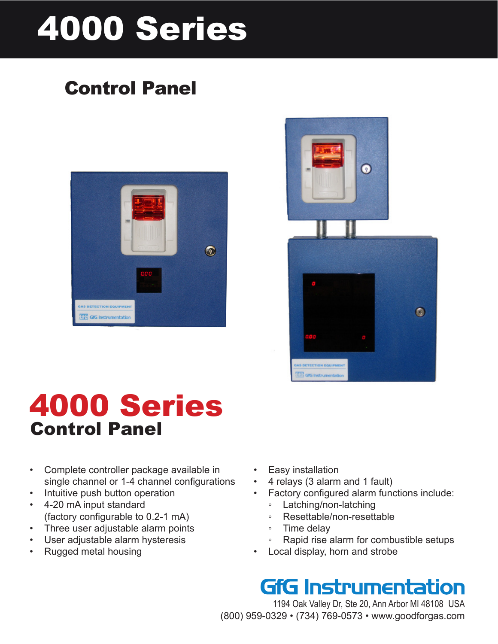# 4000 Series

## Control Panel





## 4000 Series Control Panel

- • Complete controller package available in single channel or 1-4 channel configurations
- Intuitive push button operation
- • 4-20 mA input standard (factory configurable to 0.2-1 mA)
- Three user adjustable alarm points
- User adjustable alarm hysteresis
- • Rugged metal housing
- **Easy installation**
- 4 relays (3 alarm and 1 fault)
- Factory configured alarm functions include:
	- Latching/non-latching
	- Resettable/non-resettable
	- Time delay
	- Rapid rise alarm for combustible setups
- Local display, horn and strobe

## **GfG Instrumentation**

1194 Oak Valley Dr, Ste 20, Ann Arbor MI 48108 USA (800) 959-0329 • (734) 769-0573 • www.goodforgas.com